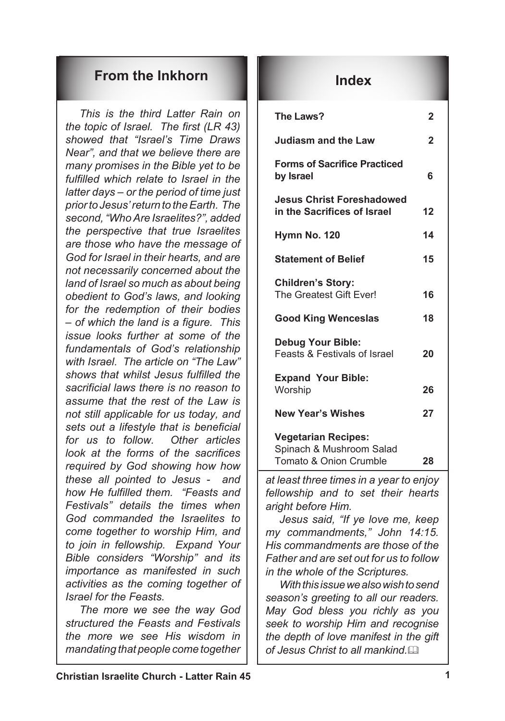### **From the Inkhorn Index**

*This is the third Latter Rain on the topic of Israel. The first (LR 43) showed that "Israel's Time Draws Near", and that we believe there are many promises in the Bible yet to be fulfilled which relate to Israel in the latter days – or the period of time just prior to Jesus' return to the Earth. The second, "Who Are Israelites?", added the perspective that true Israelites are those who have the message of God for Israel in their hearts, and are not necessarily concerned about the land of Israel so much as about being obedient to God's laws, and looking for the redemption of their bodies – of which the land is a figure. This issue looks further at some of the fundamentals of God's relationship with Israel. The article on "The Law" shows that whilst Jesus fulfilled the sacrificial laws there is no reason to assume that the rest of the Law is not still applicable for us today, and sets out a lifestyle that is beneficial for us to follow. Other articles look at the forms of the sacrifices required by God showing how how these all pointed to Jesus - and how He fulfilled them. "Feasts and Festivals" details the times when God commanded the Israelites to come together to worship Him, and to join in fellowship. Expand Your Bible considers "Worship" and its importance as manifested in such activities as the coming together of Israel for the Feasts.*

*The more we see the way God structured the Feasts and Festivals the more we see His wisdom in mandating that people come together* 

| The Laws?                                                                                   | 2              |
|---------------------------------------------------------------------------------------------|----------------|
| <b>Judiasm and the Law</b>                                                                  | $\overline{2}$ |
| <b>Forms of Sacrifice Practiced</b><br>by Israel                                            | 6              |
| <b>Jesus Christ Foreshadowed</b><br>in the Sacrifices of Israel                             | 12             |
| Hymn No. 120                                                                                | 14             |
| <b>Statement of Belief</b>                                                                  | 15             |
| <b>Children's Story:</b><br>The Greatest Gift Ever!                                         | 16             |
| <b>Good King Wenceslas</b>                                                                  | 18             |
| <b>Debug Your Bible:</b><br><b>Feasts &amp; Festivals of Israel</b>                         | 20             |
| <b>Expand Your Bible:</b><br>Worship                                                        | 26             |
| <b>New Year's Wishes</b>                                                                    | 27             |
| <b>Vegetarian Recipes:</b><br>Spinach & Mushroom Salad<br><b>Tomato &amp; Onion Crumble</b> | 28             |

*at least three times in a year to enjoy fellowship and to set their hearts aright before Him.*

*Jesus said, "If ye love me, keep my commandments," John 14:15. His commandments are those of the Father and are set out for us to follow in the whole of the Scriptures.*

*With this issue we also wish to send season's greeting to all our readers. May God bless you richly as you seek to worship Him and recognise the depth of love manifest in the gift of Jesus Christ to all mankind.*&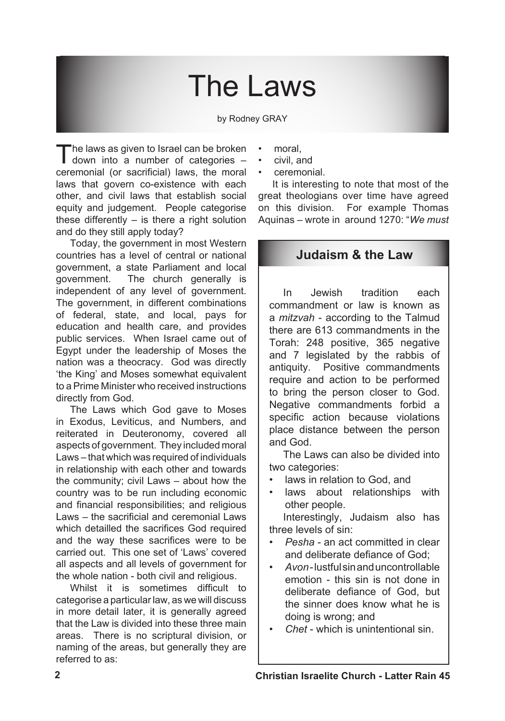# The Laws

by Rodney GRAY

The laws as given to Israel can be broken<br>down into a number of categories – ceremonial (or sacrificial) laws, the moral laws that govern co-existence with each other, and civil laws that establish social equity and judgement. People categorise these differently  $-$  is there a right solution and do they still apply today?

Today, the government in most Western countries has a level of central or national government, a state Parliament and local government. The church generally is independent of any level of government. The government, in different combinations of federal, state, and local, pays for education and health care, and provides public services. When Israel came out of Egypt under the leadership of Moses the nation was a theocracy. God was directly 'the King' and Moses somewhat equivalent to a Prime Minister who received instructions directly from God.

The Laws which God gave to Moses in Exodus, Leviticus, and Numbers, and reiterated in Deuteronomy, covered all aspects of government. They included moral Laws – that which was required of individuals in relationship with each other and towards the community; civil Laws – about how the country was to be run including economic and financial responsibilities; and religious Laws – the sacrificial and ceremonial Laws which detailled the sacrifices God required and the way these sacrifices were to be carried out. This one set of 'Laws' covered all aspects and all levels of government for the whole nation - both civil and religious.

Whilst it is sometimes difficult to categorise a particular law, as we will discuss in more detail later, it is generally agreed that the Law is divided into these three main areas. There is no scriptural division, or naming of the areas, but generally they are referred to as:

- moral, •
- civil, and •
- ceremonial. •

It is interesting to note that most of the great theologians over time have agreed on this division. For example Thomas Aquinas – wrote in around 1270: "*We must* 

### **Judaism & the Law**

In Jewish tradition each commandment or law is known as a *mitzvah* - according to the Talmud there are 613 commandments in the Torah: 248 positive, 365 negative and 7 legislated by the rabbis of antiquity. Positive commandments require and action to be performed to bring the person closer to God. Negative commandments forbid a specific action because violations place distance between the person and God.

The Laws can also be divided into two categories:

- laws in relation to God, and •
- laws about relationships with other people. •

Interestingly, Judaism also has three levels of sin:

- *Pesha* an act committed in clear and deliberate defiance of God; *•*
- *Avon*-lustfulsinanduncontrollable emotion - this sin is not done in deliberate defiance of God, but the sinner does know what he is doing is wrong; and *•*
- *Chet* which is unintentional sin. *•*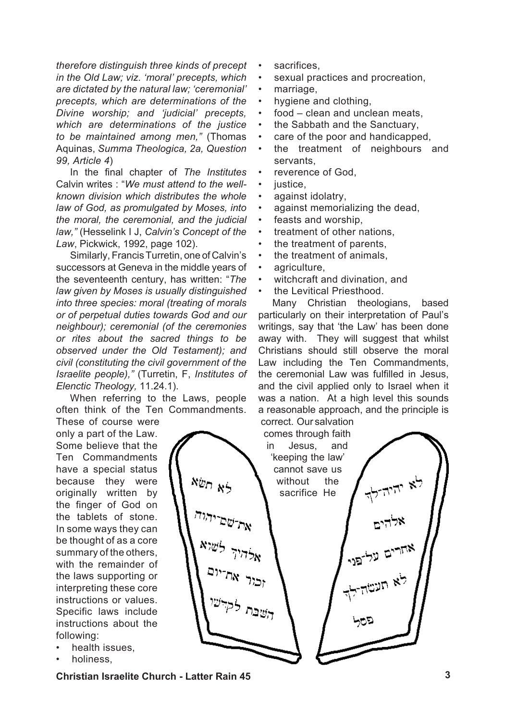*therefore distinguish three kinds of precept in the Old Law; viz. 'moral' precepts, which are dictated by the natural law; 'ceremonial' precepts, which are determinations of the Divine worship; and 'judicial' precepts, which are determinations of the justice to be maintained among men,"* (Thomas Aquinas, *Summa Theologica, 2a, Question 99, Article 4*)

In the final chapter of *The Institutes*  Calvin writes : "*We must attend to the wellknown division which distributes the whole law of God, as promulgated by Moses, into the moral, the ceremonial, and the judicial law,"* (Hesselink I J, *Calvin's Concept of the Law*, Pickwick, 1992, page 102).

Similarly, Francis Turretin, one of Calvin's successors at Geneva in the middle years of the seventeenth century, has written: "*The law given by Moses is usually distinguished into three species: moral (treating of morals or of perpetual duties towards God and our neighbour); ceremonial (of the ceremonies or rites about the sacred things to be observed under the Old Testament); and civil (constituting the civil government of the Israelite people),"* (Turretin, F, *Institutes of Elenctic Theology,* 11.24.1).

When referring to the Laws, people often think of the Ten Commandments.

These of course were only a part of the Law. Some believe that the Ten Commandments have a special status because they were originally written by the finger of God on the tablets of stone. In some ways they can be thought of as a core summary of the others, with the remainder of the laws supporting or interpreting these core instructions or values. Specific laws include instructions about the following:

- health issues, •
- holiness, •
- sacrifices, •
- sexual practices and procreation, •
- marriage, •
- hygiene and clothing, •
- food clean and unclean meats, •
- the Sabbath and the Sanctuary, •
- care of the poor and handicapped, •
- the treatment of neighbours and servants, •
- reverence of God, •
- justice. •
- against idolatry, •
- against memorializing the dead, •
- feasts and worship, •
- treatment of other nations, •
- the treatment of parents, •
- the treatment of animals, •
- agriculture, •
- witchcraft and divination, and •
- the Levitical Priesthood. •

Many Christian theologians, based particularly on their interpretation of Paul's writings, say that 'the Law' has been done away with. They will suggest that whilst Christians should still observe the moral Law including the Ten Commandments, the ceremonial Law was fulfilled in Jesus, and the civil applied only to Israel when it was a nation. At a high level this sounds a reasonable approach, and the principle is correct. Our salvation



**Christian Israelite Church - Latter Rain 45**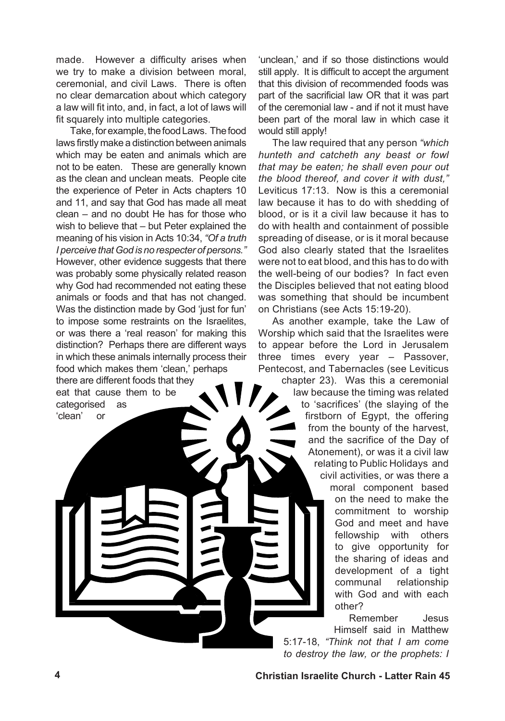made. However a difficulty arises when we try to make a division between moral, ceremonial, and civil Laws. There is often no clear demarcation about which category a law will fit into, and, in fact, a lot of laws will fit squarely into multiple categories.

Take, for example, the food Laws. The food laws firstly make a distinction between animals which may be eaten and animals which are not to be eaten. These are generally known as the clean and unclean meats. People cite the experience of Peter in Acts chapters 10 and 11, and say that God has made all meat clean – and no doubt He has for those who wish to believe that – but Peter explained the meaning of his vision in Acts 10:34, *"Of a truth I perceive that God is no respecter of persons."* However, other evidence suggests that there was probably some physically related reason why God had recommended not eating these animals or foods and that has not changed. Was the distinction made by God 'just for fun' to impose some restraints on the Israelites, or was there a 'real reason' for making this distinction? Perhaps there are different ways in which these animals internally process their food which makes them 'clean,' perhaps there are different foods that they eat that cause them to be categorised as 'clean' or

'unclean,' and if so those distinctions would still apply. It is difficult to accept the argument that this division of recommended foods was part of the sacrificial law OR that it was part of the ceremonial law - and if not it must have been part of the moral law in which case it would still apply!

The law required that any person *"which hunteth and catcheth any beast or fowl that may be eaten; he shall even pour out the blood thereof, and cover it with dust,"* Leviticus 17:13. Now is this a ceremonial law because it has to do with shedding of blood, or is it a civil law because it has to do with health and containment of possible spreading of disease, or is it moral because God also clearly stated that the Israelites were not to eat blood, and this has to do with the well-being of our bodies? In fact even the Disciples believed that not eating blood was something that should be incumbent on Christians (see Acts 15:19-20).

As another example, take the Law of Worship which said that the Israelites were to appear before the Lord in Jerusalem three times every year – Passover, Pentecost, and Tabernacles (see Leviticus

chapter 23). Was this a ceremonial law because the timing was related to 'sacrifices' (the slaying of the firstborn of Egypt, the offering from the bounty of the harvest, and the sacrifice of the Day of Atonement), or was it a civil law relating to Public Holidays and civil activities, or was there a moral component based on the need to make the commitment to worship God and meet and have fellowship with others to give opportunity for the sharing of ideas and development of a tight communal relationship with God and with each other?

Remember Jesus Himself said in Matthew 5:17-18, *"Think not that I am come to destroy the law, or the prophets: I*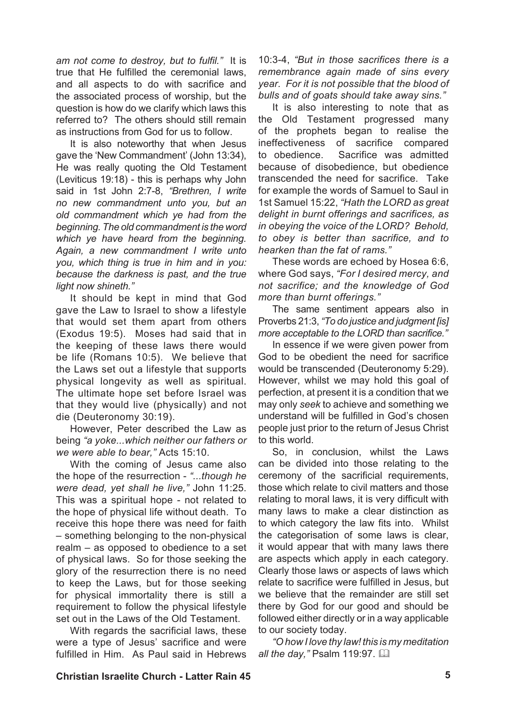*am not come to destroy, but to fulfil."* It is true that He fulfilled the ceremonial laws, and all aspects to do with sacrifice and the associated process of worship, but the question is how do we clarify which laws this referred to? The others should still remain as instructions from God for us to follow.

It is also noteworthy that when Jesus gave the 'New Commandment' (John 13:34), He was really quoting the Old Testament (Leviticus 19:18) - this is perhaps why John said in 1st John 2:7-8, *"Brethren, I write no new commandment unto you, but an old commandment which ye had from the beginning. The old commandment is the word which ye have heard from the beginning. Again, a new commandment I write unto you, which thing is true in him and in you: because the darkness is past, and the true light now shineth."*

It should be kept in mind that God gave the Law to Israel to show a lifestyle that would set them apart from others (Exodus 19:5). Moses had said that in the keeping of these laws there would be life (Romans 10:5). We believe that the Laws set out a lifestyle that supports physical longevity as well as spiritual. The ultimate hope set before Israel was that they would live (physically) and not die (Deuteronomy 30:19).

However, Peter described the Law as being *"a yoke...which neither our fathers or we were able to bear,"* Acts 15:10.

With the coming of Jesus came also the hope of the resurrection - *"...though he were dead, yet shall he live,"* John 11:25. This was a spiritual hope - not related to the hope of physical life without death. To receive this hope there was need for faith – something belonging to the non-physical realm – as opposed to obedience to a set of physical laws. So for those seeking the glory of the resurrection there is no need to keep the Laws, but for those seeking for physical immortality there is still a requirement to follow the physical lifestyle set out in the Laws of the Old Testament.

With regards the sacrificial laws, these were a type of Jesus' sacrifice and were fulfilled in Him. As Paul said in Hebrews

10:3-4, *"But in those sacrifices there is a remembrance again made of sins every year. For it is not possible that the blood of bulls and of goats should take away sins."* 

It is also interesting to note that as the Old Testament progressed many of the prophets began to realise the ineffectiveness of sacrifice compared to obedience. Sacrifice was admitted because of disobedience, but obedience transcended the need for sacrifice. Take for example the words of Samuel to Saul in 1st Samuel 15:22, *"Hath the LORD as great delight in burnt offerings and sacrifices, as in obeying the voice of the LORD? Behold, to obey is better than sacrifice, and to hearken than the fat of rams."* 

These words are echoed by Hosea 6:6, where God says, *"For I desired mercy, and not sacrifice; and the knowledge of God more than burnt offerings."* 

The same sentiment appears also in Proverbs 21:3, *"To do justice and judgment [is] more acceptable to the LORD than sacrifice."*

In essence if we were given power from God to be obedient the need for sacrifice would be transcended (Deuteronomy 5:29). However, whilst we may hold this goal of perfection, at present it is a condition that we may only *seek* to achieve and something we understand will be fulfilled in God's chosen people just prior to the return of Jesus Christ to this world.

So, in conclusion, whilst the Laws can be divided into those relating to the ceremony of the sacrificial requirements, those which relate to civil matters and those relating to moral laws, it is very difficult with many laws to make a clear distinction as to which category the law fits into. Whilst the categorisation of some laws is clear, it would appear that with many laws there are aspects which apply in each category. Clearly those laws or aspects of laws which relate to sacrifice were fulfilled in Jesus, but we believe that the remainder are still set there by God for our good and should be followed either directly or in a way applicable to our society today.

*"O how I love thy law! this is my meditation all the day,"* Psalm 119:97. [124]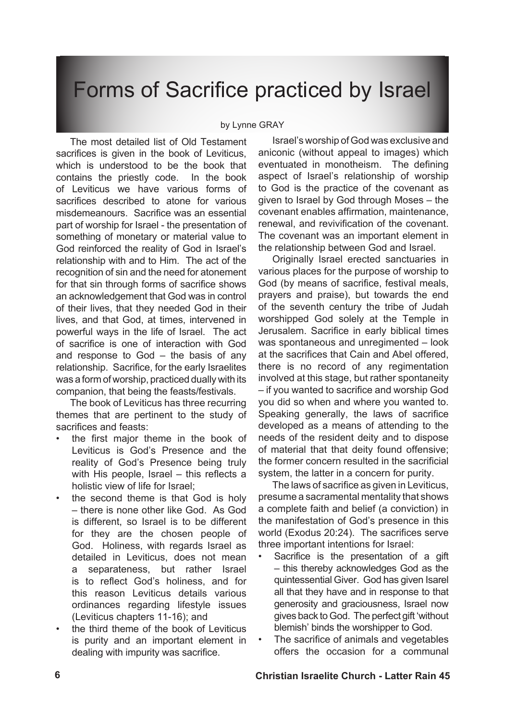## Forms of Sacrifice practiced by Israel

#### by Lynne GRAY

The most detailed list of Old Testament sacrifices is given in the book of Leviticus, which is understood to be the book that contains the priestly code. In the book of Leviticus we have various forms of sacrifices described to atone for various misdemeanours. Sacrifice was an essential part of worship for Israel - the presentation of something of monetary or material value to God reinforced the reality of God in Israel's relationship with and to Him. The act of the recognition of sin and the need for atonement for that sin through forms of sacrifice shows an acknowledgement that God was in control of their lives, that they needed God in their lives, and that God, at times, intervened in powerful ways in the life of Israel. The act of sacrifice is one of interaction with God and response to God – the basis of any relationship. Sacrifice, for the early Israelites was a form of worship, practiced dually with its companion, that being the feasts/festivals.

The book of Leviticus has three recurring themes that are pertinent to the study of sacrifices and feasts:

- the first major theme in the book of Leviticus is God's Presence and the reality of God's Presence being truly with His people, Israel – this reflects a holistic view of life for Israel; •
- the second theme is that God is holy – there is none other like God. As God is different, so Israel is to be different for they are the chosen people of God. Holiness, with regards Israel as detailed in Leviticus, does not mean a separateness, but rather Israel is to reflect God's holiness, and for this reason Leviticus details various ordinances regarding lifestyle issues (Leviticus chapters 11-16); and •
- the third theme of the book of Leviticus is purity and an important element in dealing with impurity was sacrifice. •

Israel's worship ofGod was exclusive and aniconic (without appeal to images) which eventuated in monotheism. The defining aspect of Israel's relationship of worship to God is the practice of the covenant as given to Israel by God through Moses – the covenant enables affirmation, maintenance, renewal, and revivification of the covenant. The covenant was an important element in the relationship between God and Israel.

Originally Israel erected sanctuaries in various places for the purpose of worship to God (by means of sacrifice, festival meals, prayers and praise), but towards the end of the seventh century the tribe of Judah worshipped God solely at the Temple in Jerusalem. Sacrifice in early biblical times was spontaneous and unregimented – look at the sacrifices that Cain and Abel offered, there is no record of any regimentation involved at this stage, but rather spontaneity – if you wanted to sacrifice and worship God you did so when and where you wanted to. Speaking generally, the laws of sacrifice developed as a means of attending to the needs of the resident deity and to dispose of material that that deity found offensive; the former concern resulted in the sacrificial system, the latter in a concern for purity.

The laws of sacrifice as given in Leviticus, presume a sacramental mentality that shows a complete faith and belief (a conviction) in the manifestation of God's presence in this world (Exodus 20:24). The sacrifices serve three important intentions for Israel:

- Sacrifice is the presentation of a gift – this thereby acknowledges God as the quintessential Giver. God has given Isarel all that they have and in response to that generosity and graciousness, Israel now gives back to God. The perfect gift 'without blemish' binds the worshipper to God. •
- The sacrifice of animals and vegetables offers the occasion for a communal •

#### **Christian Israelite Church - Latter Rain 45**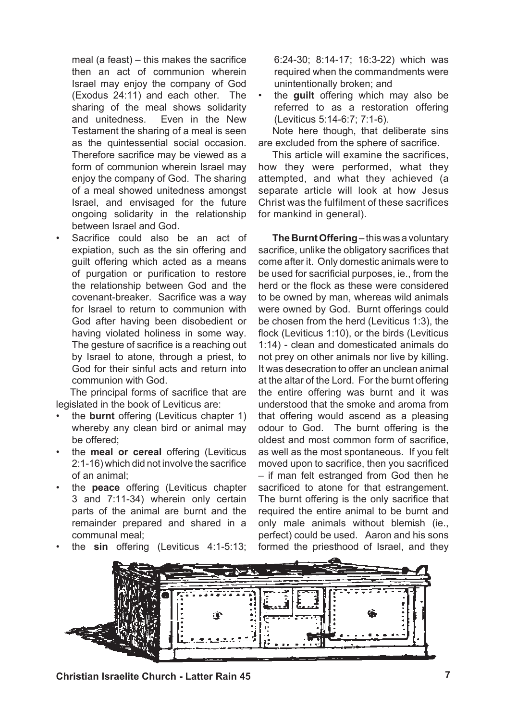meal (a feast) – this makes the sacrifice then an act of communion wherein Israel may enjoy the company of God (Exodus 24:11) and each other. The sharing of the meal shows solidarity<br>and unitedness. Even in the New Even in the New Testament the sharing of a meal is seen as the quintessential social occasion. Therefore sacrifice may be viewed as a form of communion wherein Israel may enjoy the company of God. The sharing of a meal showed unitedness amongst Israel, and envisaged for the future ongoing solidarity in the relationship between Israel and God.

Sacrifice could also be an act of expiation, such as the sin offering and guilt offering which acted as a means of purgation or purification to restore the relationship between God and the covenant-breaker. Sacrifice was a way for Israel to return to communion with God after having been disobedient or having violated holiness in some way. The gesture of sacrifice is a reaching out by Israel to atone, through a priest, to God for their sinful acts and return into communion with God.

•

•

The principal forms of sacrifice that are legislated in the book of Leviticus are:

- the **burnt** offering (Leviticus chapter 1) whereby any clean bird or animal may be offered; •
- the **meal or cereal** offering (Leviticus 2:1-16) which did not involve the sacrifice of an animal; •
- the **peace** offering (Leviticus chapter 3 and 7:11-34) wherein only certain parts of the animal are burnt and the remainder prepared and shared in a communal meal; •

the **sin** offering (Leviticus 4:1-5:13;

- 6:24-30; 8:14-17; 16:3-22) which was required when the commandments were unintentionally broken; and
- the **guilt** offering which may also be referred to as a restoration offering (Leviticus 5:14-6:7; 7:1-6). •

Note here though, that deliberate sins are excluded from the sphere of sacrifice.

This article will examine the sacrifices, how they were performed, what they attempted, and what they achieved (a separate article will look at how Jesus Christ was the fulfilment of these sacrifices for mankind in general).

**The Burnt Offering**– thiswas a voluntary sacrifice, unlike the obligatory sacrifices that come after it. Only domestic animals were to be used for sacrificial purposes, ie., from the herd or the flock as these were considered to be owned by man, whereas wild animals were owned by God. Burnt offerings could be chosen from the herd (Leviticus 1:3), the flock (Leviticus 1:10), or the birds (Leviticus 1:14) - clean and domesticated animals do not prey on other animals nor live by killing. It was desecration to offer an unclean animal at the altar of the Lord. For the burnt offering the entire offering was burnt and it was understood that the smoke and aroma from that offering would ascend as a pleasing odour to God. The burnt offering is the oldest and most common form of sacrifice, as well as the most spontaneous. If you felt moved upon to sacrifice, then you sacrificed – if man felt estranged from God then he sacrificed to atone for that estrangement. The burnt offering is the only sacrifice that required the entire animal to be burnt and only male animals without blemish (ie., perfect) could be used. Aaron and his sons formed the priesthood of Israel, and they



**Christian Israelite Church - Latter Rain 45**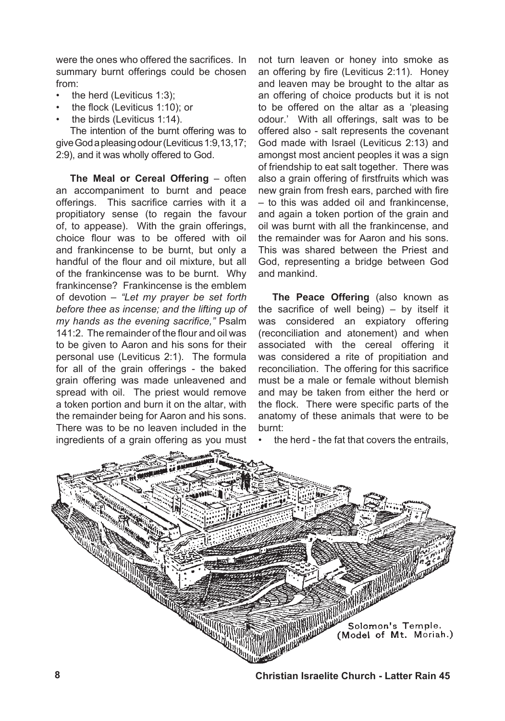were the ones who offered the sacrifices. In summary burnt offerings could be chosen from:

- the herd (Leviticus 1:3); •
- the flock (Leviticus 1:10); or •
- the birds (Leviticus 1:14). •

The intention of the burnt offering was to giveGodapleasingodour(Leviticus1:9,13,17; 2:9), and it was wholly offered to God.

**The Meal or Cereal Offering – often** an accompaniment to burnt and peace offerings. This sacrifice carries with it a propitiatory sense (to regain the favour of, to appease). With the grain offerings, choice flour was to be offered with oil and frankincense to be burnt, but only a handful of the flour and oil mixture, but all of the frankincense was to be burnt. Why frankincense? Frankincense is the emblem of devotion – *"Let my prayer be set forth before thee as incense; and the lifting up of my hands as the evening sacrifice,"* Psalm 141:2. The remainder of the flour and oil was to be given to Aaron and his sons for their personal use (Leviticus 2:1). The formula for all of the grain offerings - the baked grain offering was made unleavened and spread with oil. The priest would remove a token portion and burn it on the altar, with the remainder being for Aaron and his sons. There was to be no leaven included in the ingredients of a grain offering as you must

not turn leaven or honey into smoke as an offering by fire (Leviticus 2:11). Honey and leaven may be brought to the altar as an offering of choice products but it is not to be offered on the altar as a 'pleasing odour.' With all offerings, salt was to be offered also - salt represents the covenant God made with Israel (Leviticus 2:13) and amongst most ancient peoples it was a sign of friendship to eat salt together. There was also a grain offering of firstfruits which was new grain from fresh ears, parched with fire – to this was added oil and frankincense, and again a token portion of the grain and oil was burnt with all the frankincense, and the remainder was for Aaron and his sons. This was shared between the Priest and God, representing a bridge between God and mankind.

**The Peace Offering** (also known as the sacrifice of well being) – by itself it was considered an expiatory offering (reconciliation and atonement) and when associated with the cereal offering it was considered a rite of propitiation and reconciliation. The offering for this sacrifice must be a male or female without blemish and may be taken from either the herd or the flock. There were specific parts of the anatomy of these animals that were to be burnt:

the herd - the fat that covers the entrails,

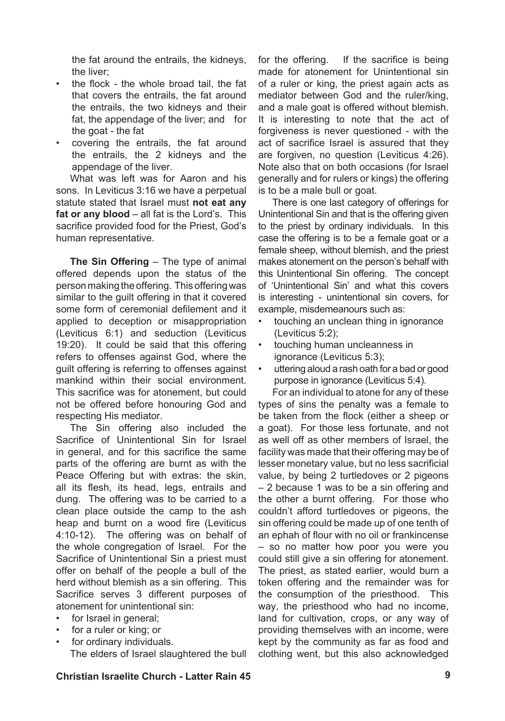the fat around the entrails, the kidneys, the liver;

- the flock the whole broad tail, the fat that covers the entrails, the fat around the entrails, the two kidneys and their fat, the appendage of the liver; and for the goat - the fat •
- covering the entrails, the fat around the entrails, the 2 kidneys and the appendage of the liver. •

What was left was for Aaron and his sons. In Leviticus 3:16 we have a perpetual statute stated that Israel must **not eat any fat or any blood** – all fat is the Lord's. This sacrifice provided food for the Priest, God's human representative.

**The Sin Offering** – The type of animal offered depends upon the status of the person making the offering. This offering was similar to the guilt offering in that it covered some form of ceremonial defilement and it applied to deception or misappropriation (Leviticus 6:1) and seduction (Leviticus 19:20). It could be said that this offering refers to offenses against God, where the guilt offering is referring to offenses against mankind within their social environment. This sacrifice was for atonement, but could not be offered before honouring God and respecting His mediator.

The Sin offering also included the Sacrifice of Unintentional Sin for Israel in general, and for this sacrifice the same parts of the offering are burnt as with the Peace Offering but with extras: the skin, all its flesh, its head, legs, entrails and dung. The offering was to be carried to a clean place outside the camp to the ash heap and burnt on a wood fire (Leviticus 4:10-12). The offering was on behalf of the whole congregation of Israel. For the Sacrifice of Unintentional Sin a priest must offer on behalf of the people a bull of the herd without blemish as a sin offering. This Sacrifice serves 3 different purposes of atonement for unintentional sin:

- for Israel in general; •
- for a ruler or king; or •
- for ordinary individuals. •

The elders of Israel slaughtered the bull

for the offering. If the sacrifice is being made for atonement for Unintentional sin of a ruler or king, the priest again acts as mediator between God and the ruler/king, and a male goat is offered without blemish. It is interesting to note that the act of forgiveness is never questioned - with the act of sacrifice Israel is assured that they are forgiven, no question (Leviticus 4:26). Note also that on both occasions (for Israel generally and for rulers or kings) the offering is to be a male bull or goat.

There is one last category of offerings for Unintentional Sin and that is the offering given to the priest by ordinary individuals. In this case the offering is to be a female goat or a female sheep, without blemish, and the priest makes atonement on the person's behalf with this Unintentional Sin offering. The concept of 'Unintentional Sin' and what this covers is interesting - unintentional sin covers, for example, misdemeanours such as:

- touching an unclean thing in ignorance (Leviticus 5:2); •
- touching human uncleanness in ignorance (Leviticus 5:3); •
- uttering aloud a rash oath for a bad or good purpose in ignorance (Leviticus 5:4). •

For an individual to atone for any of these types of sins the penalty was a female to be taken from the flock (either a sheep or a goat). For those less fortunate, and not as well off as other members of Israel, the facility was made that their offering may be of lesser monetary value, but no less sacrificial value, by being 2 turtledoves or 2 pigeons – 2 because 1 was to be a sin offering and the other a burnt offering. For those who couldn't afford turtledoves or pigeons, the sin offering could be made up of one tenth of an ephah of flour with no oil or frankincense – so no matter how poor you were you could still give a sin offering for atonement. The priest, as stated earlier, would burn a token offering and the remainder was for the consumption of the priesthood. This way, the priesthood who had no income, land for cultivation, crops, or any way of providing themselves with an income, were kept by the community as far as food and clothing went, but this also acknowledged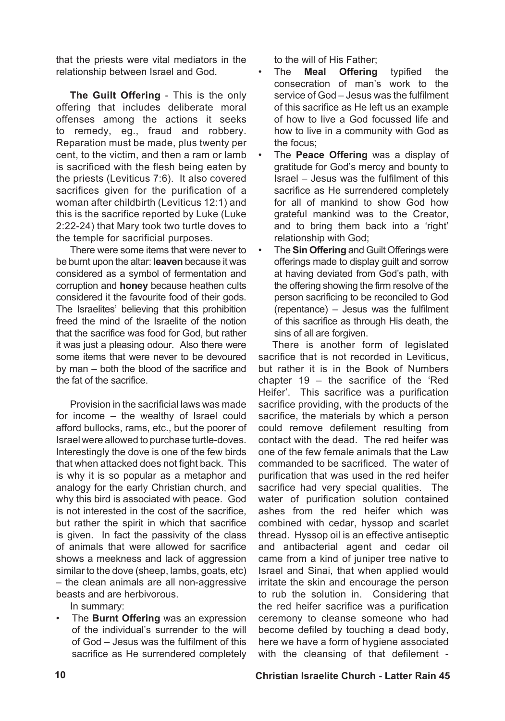that the priests were vital mediators in the relationship between Israel and God.

**The Guilt Offering** - This is the only offering that includes deliberate moral offenses among the actions it seeks to remedy, eg., fraud and robbery. Reparation must be made, plus twenty per cent, to the victim, and then a ram or lamb is sacrificed with the flesh being eaten by the priests (Leviticus 7:6). It also covered sacrifices given for the purification of a woman after childbirth (Leviticus 12:1) and this is the sacrifice reported by Luke (Luke 2:22-24) that Mary took two turtle doves to the temple for sacrificial purposes.

There were some items that were never to be burnt upon the altar: **leaven** because it was considered as a symbol of fermentation and corruption and **honey** because heathen cults considered it the favourite food of their gods. The Israelites' believing that this prohibition freed the mind of the Israelite of the notion that the sacrifice was food for God, but rather it was just a pleasing odour. Also there were some items that were never to be devoured by man – both the blood of the sacrifice and the fat of the sacrifice.

Provision in the sacrificial laws was made for income – the wealthy of Israel could afford bullocks, rams, etc., but the poorer of Israel were allowed to purchase turtle-doves. Interestingly the dove is one of the few birds that when attacked does not fight back. This is why it is so popular as a metaphor and analogy for the early Christian church, and why this bird is associated with peace. God is not interested in the cost of the sacrifice, but rather the spirit in which that sacrifice is given. In fact the passivity of the class of animals that were allowed for sacrifice shows a meekness and lack of aggression similar to the dove (sheep, lambs, goats, etc) – the clean animals are all non-aggressive beasts and are herbivorous.

In summary:

The **Burnt Offering** was an expression • of the individual's surrender to the will of God – Jesus was the fulfilment of this sacrifice as He surrendered completely to the will of His Father;<br>The **Meal Offering** 

- The **Meal Offering** typified the consecration of man's work to the service of God – Jesus was the fulfilment of this sacrifice as He left us an example of how to live a God focussed life and how to live in a community with God as the focus; •
- The **Peace Offering** was a display of gratitude for God's mercy and bounty to Israel – Jesus was the fulfilment of this sacrifice as He surrendered completely for all of mankind to show God how grateful mankind was to the Creator, and to bring them back into a 'right' relationship with God; •
- The **Sin Offering** and Guilt Offerings were offerings made to display guilt and sorrow at having deviated from God's path, with the offering showing the firm resolve of the person sacrificing to be reconciled to God (repentance) – Jesus was the fulfilment of this sacrifice as through His death, the sins of all are forgiven. •

There is another form of legislated sacrifice that is not recorded in Leviticus, but rather it is in the Book of Numbers chapter 19 – the sacrifice of the 'Red Heifer'. This sacrifice was a purification sacrifice providing, with the products of the sacrifice, the materials by which a person could remove defilement resulting from contact with the dead. The red heifer was one of the few female animals that the Law commanded to be sacrificed. The water of purification that was used in the red heifer sacrifice had very special qualities. The water of purification solution contained ashes from the red heifer which was combined with cedar, hyssop and scarlet thread. Hyssop oil is an effective antiseptic and antibacterial agent and cedar oil came from a kind of juniper tree native to Israel and Sinai, that when applied would irritate the skin and encourage the person to rub the solution in. Considering that the red heifer sacrifice was a purification ceremony to cleanse someone who had become defiled by touching a dead body, here we have a form of hygiene associated with the cleansing of that defilement -

### **10 Christian Israelite Church - Latter Rain 45**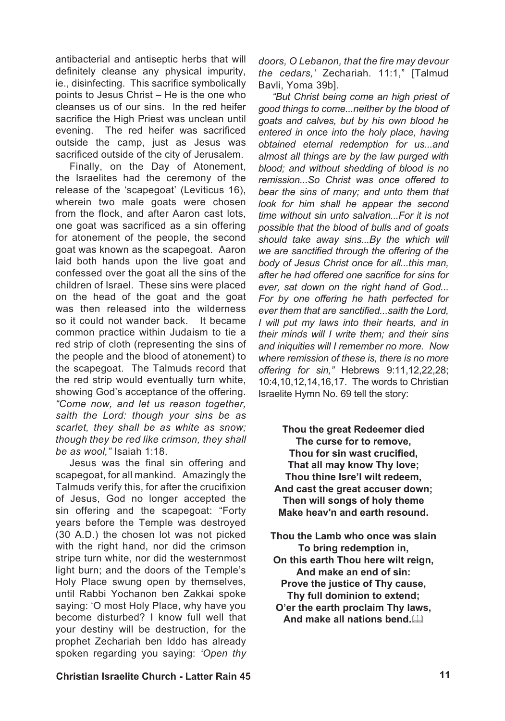antibacterial and antiseptic herbs that will definitely cleanse any physical impurity, ie., disinfecting. This sacrifice symbolically points to Jesus Christ – He is the one who cleanses us of our sins. In the red heifer sacrifice the High Priest was unclean until evening. The red heifer was sacrificed outside the camp, just as Jesus was sacrificed outside of the city of Jerusalem.

Finally, on the Day of Atonement, the Israelites had the ceremony of the release of the 'scapegoat' (Leviticus 16), wherein two male goats were chosen from the flock, and after Aaron cast lots, one goat was sacrificed as a sin offering for atonement of the people, the second goat was known as the scapegoat. Aaron laid both hands upon the live goat and confessed over the goat all the sins of the children of Israel. These sins were placed on the head of the goat and the goat was then released into the wilderness so it could not wander back. It became common practice within Judaism to tie a red strip of cloth (representing the sins of the people and the blood of atonement) to the scapegoat. The Talmuds record that the red strip would eventually turn white, showing God's acceptance of the offering. *"Come now, and let us reason together, saith the Lord: though your sins be as scarlet, they shall be as white as snow; though they be red like crimson, they shall be as wool,"* Isaiah 1:18.

Jesus was the final sin offering and scapegoat, for all mankind. Amazingly the Talmuds verify this, for after the crucifixion of Jesus, God no longer accepted the sin offering and the scapegoat: "Forty years before the Temple was destroyed (30 A.D.) the chosen lot was not picked with the right hand, nor did the crimson stripe turn white, nor did the westernmost light burn; and the doors of the Temple's Holy Place swung open by themselves, until Rabbi Yochanon ben Zakkai spoke saying: 'O most Holy Place, why have you become disturbed? I know full well that your destiny will be destruction, for the prophet Zechariah ben Iddo has already spoken regarding you saying: *'Open thy* 

*doors, O Lebanon, that the fire may devour the cedars,'* Zechariah. 11:1," [Talmud Bavli, Yoma 39b].

*"But Christ being come an high priest of good things to come...neither by the blood of goats and calves, but by his own blood he entered in once into the holy place, having obtained eternal redemption for us...and almost all things are by the law purged with blood; and without shedding of blood is no remission...So Christ was once offered to bear the sins of many; and unto them that look for him shall he appear the second time without sin unto salvation...For it is not possible that the blood of bulls and of goats should take away sins...By the which will we are sanctified through the offering of the body of Jesus Christ once for all...this man, after he had offered one sacrifice for sins for ever, sat down on the right hand of God... For by one offering he hath perfected for ever them that are sanctified...saith the Lord, I will put my laws into their hearts, and in their minds will I write them; and their sins and iniquities will I remember no more. Now where remission of these is, there is no more offering for sin,"* Hebrews 9:11,12,22,28; 10:4,10,12,14,16,17. The words to Christian Israelite Hymn No. 69 tell the story:

**Thou the great Redeemer died The curse for to remove, Thou for sin wast crucified, That all may know Thy love; Thou thine Isre'l wilt redeem, And cast the great accuser down; Then will songs of holy theme Make heav'n and earth resound.**

- **Thou the Lamb who once was slain To bring redemption in,**
- **On this earth Thou here wilt reign, And make an end of sin: Prove the justice of Thy cause, Thy full dominion to extend;**
- **O'er the earth proclaim Thy laws,** And make all nations bend.

### **Christian Israelite Church - Latter Rain 45 11**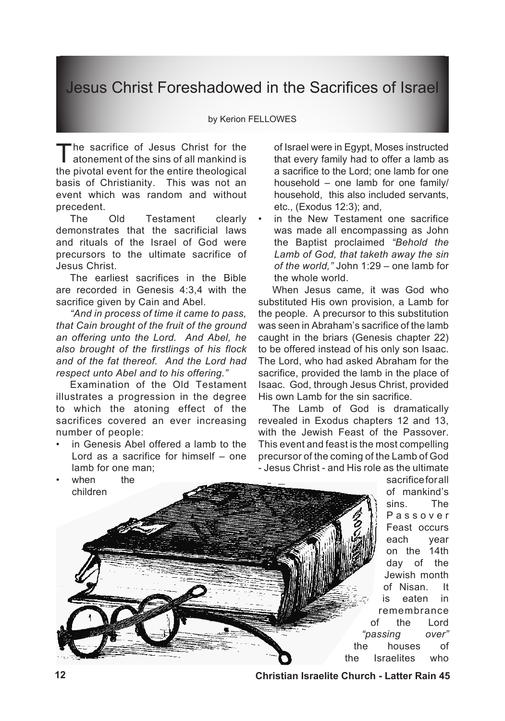## Jesus Christ Foreshadowed in the Sacrifices of Israel

### by Kerion FELLOWES

The sacrifice of Jesus Christ for the<br>atonement of the sins of all mankind is the pivotal event for the entire theological basis of Christianity. This was not an event which was random and without precedent.

The Old Testament clearly demonstrates that the sacrificial laws and rituals of the Israel of God were precursors to the ultimate sacrifice of Jesus Christ.

The earliest sacrifices in the Bible are recorded in Genesis 4:3,4 with the sacrifice given by Cain and Abel.

*"And in process of time it came to pass, that Cain brought of the fruit of the ground an offering unto the Lord. And Abel, he also brought of the firstlings of his flock and of the fat thereof. And the Lord had respect unto Abel and to his offering."*

Examination of the Old Testament illustrates a progression in the degree to which the atoning effect of the sacrifices covered an ever increasing number of people:

in Genesis Abel offered a lamb to the Lord as a sacrifice for himself – one lamb for one man; •

of Israel were in Egypt, Moses instructed that every family had to offer a lamb as a sacrifice to the Lord; one lamb for one household – one lamb for one family/ household, this also included servants, etc., (Exodus 12:3); and,

in the New Testament one sacrifice was made all encompassing as John the Baptist proclaimed *"Behold the Lamb of God, that taketh away the sin of the world,"* John 1:29 – one lamb for the whole world. •

When Jesus came, it was God who substituted His own provision, a Lamb for the people. A precursor to this substitution was seen in Abraham's sacrifice of the lamb caught in the briars (Genesis chapter 22) to be offered instead of his only son Isaac. The Lord, who had asked Abraham for the sacrifice, provided the lamb in the place of Isaac. God, through Jesus Christ, provided His own Lamb for the sin sacrifice.

The Lamb of God is dramatically revealed in Exodus chapters 12 and 13, with the Jewish Feast of the Passover. This event and feast is the most compelling precursor of the coming of the Lamb of God - Jesus Christ - and His role as the ultimate



**sacrifice for all** of mankind's sins. The P a s s o v e r Feast occurs each year on the 14th day of the Jewish month of Nisan. It is eaten in remembrance of the Lord *"passing over"*  the houses of the Israelites who

**12 Christian Israelite Church - Latter Rain 45**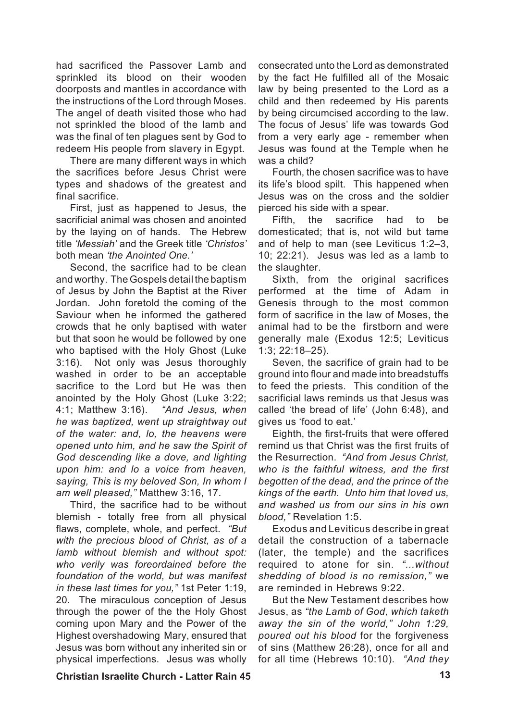had sacrificed the Passover Lamb and sprinkled its blood on their wooden doorposts and mantles in accordance with the instructions of the Lord through Moses. The angel of death visited those who had not sprinkled the blood of the lamb and was the final of ten plagues sent by God to redeem His people from slavery in Egypt.

There are many different ways in which the sacrifices before Jesus Christ were types and shadows of the greatest and final sacrifice.

First, just as happened to Jesus, the sacrificial animal was chosen and anointed by the laying on of hands. The Hebrew title *'Messiah'* and the Greek title *'Christos'* both mean *'the Anointed One.'*

Second, the sacrifice had to be clean and worthy. The Gospels detail the baptism of Jesus by John the Baptist at the River Jordan. John foretold the coming of the Saviour when he informed the gathered crowds that he only baptised with water but that soon he would be followed by one who baptised with the Holy Ghost (Luke 3:16). Not only was Jesus thoroughly washed in order to be an acceptable sacrifice to the Lord but He was then anointed by the Holy Ghost (Luke 3:22; 4:1; Matthew 3:16). *"And Jesus, when he was baptized, went up straightway out of the water: and, lo, the heavens were opened unto him, and he saw the Spirit of God descending like a dove, and lighting upon him: and lo a voice from heaven, saying, This is my beloved Son, In whom I am well pleased,"* Matthew 3:16, 17.

Third, the sacrifice had to be without blemish - totally free from all physical flaws, complete, whole, and perfect. *"But with the precious blood of Christ, as of a lamb without blemish and without spot: who verily was foreordained before the foundation of the world, but was manifest in these last times for you,"* 1st Peter 1:19, 20. The miraculous conception of Jesus through the power of the the Holy Ghost coming upon Mary and the Power of the Highest overshadowing Mary, ensured that Jesus was born without any inherited sin or physical imperfections. Jesus was wholly

consecrated unto the Lord as demonstrated by the fact He fulfilled all of the Mosaic law by being presented to the Lord as a child and then redeemed by His parents by being circumcised according to the law. The focus of Jesus' life was towards God from a very early age - remember when Jesus was found at the Temple when he was a child?

Fourth, the chosen sacrifice was to have its life's blood spilt. This happened when Jesus was on the cross and the soldier pierced his side with a spear.

Fifth, the sacrifice had to be domesticated; that is, not wild but tame and of help to man (see Leviticus 1:2–3, 10; 22:21). Jesus was led as a lamb to the slaughter.

Sixth, from the original sacrifices performed at the time of Adam in Genesis through to the most common form of sacrifice in the law of Moses, the animal had to be the firstborn and were generally male (Exodus 12:5; Leviticus 1:3; 22:18–25).

Seven, the sacrifice of grain had to be ground into flour and made into breadstuffs to feed the priests. This condition of the sacrificial laws reminds us that Jesus was called 'the bread of life' (John 6:48), and gives us 'food to eat.'

Eighth, the first-fruits that were offered remind us that Christ was the first fruits of the Resurrection. *"And from Jesus Christ, who is the faithful witness, and the first begotten of the dead, and the prince of the kings of the earth. Unto him that loved us, and washed us from our sins in his own blood,"* Revelation 1:5.

Exodus and Leviticus describe in great detail the construction of a tabernacle (later, the temple) and the sacrifices required to atone for sin. *"...without shedding of blood is no remission,"* we are reminded in Hebrews 9:22.

But the New Testament describes how Jesus, as *"the Lamb of God, which taketh away the sin of the world," John 1:29, poured out his blood* for the forgiveness of sins (Matthew 26:28), once for all and for all time (Hebrews 10:10). *"And they* 

**Christian Israelite Church - Latter Rain 45 13**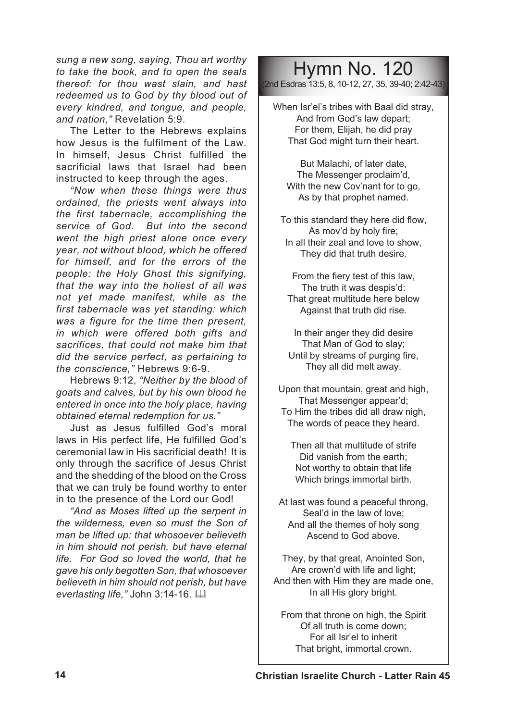*sung a new song, saying, Thou art worthy to take the book, and to open the seals thereof: for thou wast slain, and hast redeemed us to God by thy blood out of every kindred, and tongue, and people, and nation,"* Revelation 5:9.

The Letter to the Hebrews explains how Jesus is the fulfilment of the Law. In himself, Jesus Christ fulfilled the sacrificial laws that Israel had been instructed to keep through the ages.

*"Now when these things were thus ordained, the priests went always into the first tabernacle, accomplishing the service of God. But into the second went the high priest alone once every year, not without blood, which he offered for himself, and for the errors of the people: the Holy Ghost this signifying, that the way into the holiest of all was not yet made manifest, while as the first tabernacle was yet standing: which was a figure for the time then present, in which were offered both gifts and sacrifices, that could not make him that did the service perfect, as pertaining to the conscience,"* Hebrews 9:6-9.

Hebrews 9:12, *"Neither by the blood of goats and calves, but by his own blood he entered in once into the holy place, having obtained eternal redemption for us."* 

Just as Jesus fulfilled God's moral laws in His perfect life, He fulfilled God's ceremonial law in His sacrificial death! It is only through the sacrifice of Jesus Christ and the shedding of the blood on the Cross that we can truly be found worthy to enter in to the presence of the Lord our God!

*"And as Moses lifted up the serpent in the wilderness, even so must the Son of man be lifted up: that whosoever believeth in him should not perish, but have eternal life. For God so loved the world, that he gave his only begotten Son, that whosoever believeth in him should not perish, but have everlasting life,"* John 3:14-16. &

## Hymn No. 120

(2nd Esdras 13:5, 8, 10-12, 27, 35, 39-40; 2:42-43)

When Isr'el's tribes with Baal did stray, And from God's law depart; For them, Elijah, he did pray That God might turn their heart.

But Malachi, of later date, The Messenger proclaim'd, With the new Cov'nant for to go, As by that prophet named.

To this standard they here did flow, As mov'd by holy fire; In all their zeal and love to show, They did that truth desire.

From the fiery test of this law, The truth it was despis'd: That great multitude here below Against that truth did rise.

In their anger they did desire That Man of God to slay; Until by streams of purging fire, They all did melt away.

Upon that mountain, great and high, That Messenger appear'd; To Him the tribes did all draw nigh, The words of peace they heard.

Then all that multitude of strife Did vanish from the earth; Not worthy to obtain that life Which brings immortal birth.

At last was found a peaceful throng, Seal'd in the law of love; And all the themes of holy song Ascend to God above.

They, by that great, Anointed Son, Are crown'd with life and light; And then with Him they are made one, In all His glory bright.

From that throne on high, the Spirit Of all truth is come down; For all Isr'el to inherit That bright, immortal crown.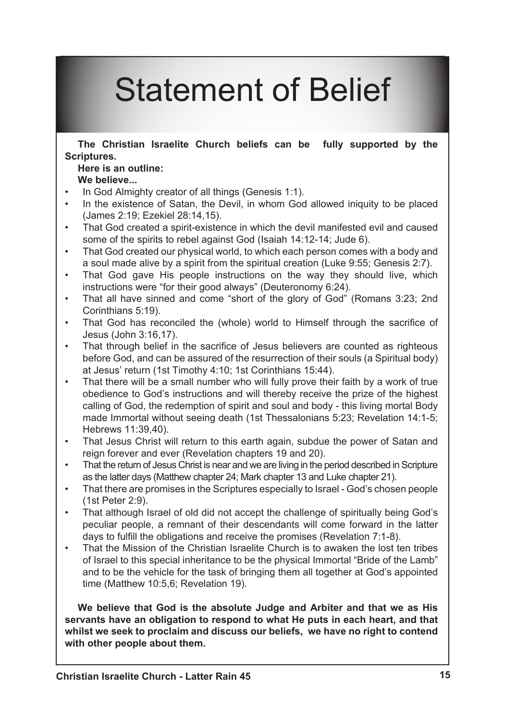# Statement of Belief

**The Christian Israelite Church beliefs can be fully supported by the Scriptures.** 

### **Here is an outline: We believe...**

- In God Almighty creator of all things (Genesis 1:1). •
- In the existence of Satan, the Devil, in whom God allowed iniquity to be placed (James 2:19; Ezekiel 28:14,15). •
- That God created a spirit-existence in which the devil manifested evil and caused some of the spirits to rebel against God (Isaiah 14:12-14; Jude 6). •
- That God created our physical world, to which each person comes with a body and a soul made alive by a spirit from the spiritual creation (Luke 9:55; Genesis 2:7). •
- That God gave His people instructions on the way they should live, which instructions were "for their good always" (Deuteronomy 6:24). •
- That all have sinned and come "short of the glory of God" (Romans 3:23; 2nd Corinthians 5:19). •
- That God has reconciled the (whole) world to Himself through the sacrifice of Jesus (John 3:16,17). •
- That through belief in the sacrifice of Jesus believers are counted as righteous before God, and can be assured of the resurrection of their souls (a Spiritual body) at Jesus' return (1st Timothy 4:10; 1st Corinthians 15:44). •
- That there will be a small number who will fully prove their faith by a work of true obedience to God's instructions and will thereby receive the prize of the highest calling of God, the redemption of spirit and soul and body - this living mortal Body made Immortal without seeing death (1st Thessalonians 5:23; Revelation 14:1-5; Hebrews 11:39,40). •
- That Jesus Christ will return to this earth again, subdue the power of Satan and reign forever and ever (Revelation chapters 19 and 20). •
- That the return of Jesus Christ is near and we are living in the period described in Scripture as the latter days (Matthew chapter 24; Mark chapter 13 and Luke chapter 21). •
- That there are promises in the Scriptures especially to Israel God's chosen people (1st Peter 2:9). •
- That although Israel of old did not accept the challenge of spiritually being God's peculiar people, a remnant of their descendants will come forward in the latter days to fulfill the obligations and receive the promises (Revelation 7:1-8). •
- That the Mission of the Christian Israelite Church is to awaken the lost ten tribes of Israel to this special inheritance to be the physical Immortal "Bride of the Lamb" and to be the vehicle for the task of bringing them all together at God's appointed time (Matthew 10:5,6; Revelation 19). •

**We believe that God is the absolute Judge and Arbiter and that we as His servants have an obligation to respond to what He puts in each heart, and that whilst we seek to proclaim and discuss our beliefs, we have no right to contend with other people about them.**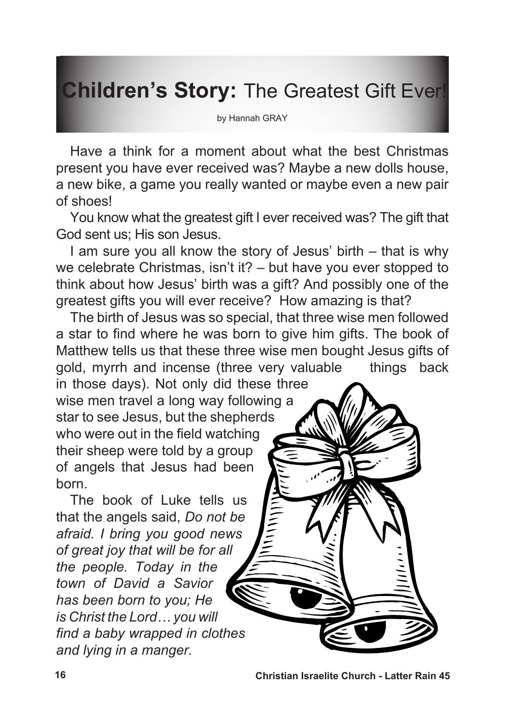# **Children's Story:** The Greatest Gift Ever!

by Hannah GRAY

Have a think for a moment about what the best Christmas present you have ever received was? Maybe a new dolls house, a new bike, a game you really wanted or maybe even a new pair of shoes!

You know what the greatest gift I ever received was? The gift that God sent us; His son Jesus.

I am sure you all know the story of Jesus' birth – that is why we celebrate Christmas, isn't it? – but have you ever stopped to think about how Jesus' birth was a gift? And possibly one of the greatest gifts you will ever receive? How amazing is that?

The birth of Jesus was so special, that three wise men followed a star to find where he was born to give him gifts. The book of Matthew tells us that these three wise men bought Jesus gifts of gold, myrrh and incense (three very valuable things back in those days). Not only did these three wise men travel a long way following a star to see Jesus, but the shepherds who were out in the field watching their sheep were told by a group of angels that Jesus had been

The book of Luke tells us that the angels said, *Do not be afraid. I bring you good news of great joy that will be for all the people. Today in the town of David a Savior has been born to you; He is Christ the Lord… you will find a baby wrapped in clothes and lying in a manger.* 

born.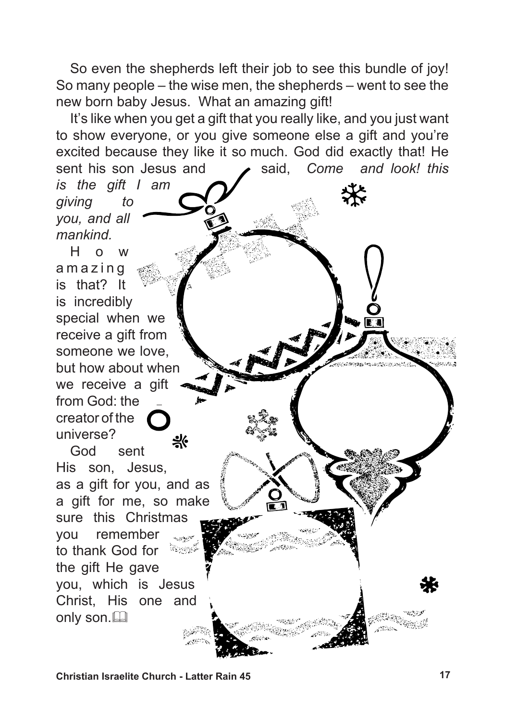So even the shepherds left their job to see this bundle of joy! So many people – the wise men, the shepherds – went to see the new born baby Jesus. What an amazing gift!

It's like when you get a gift that you really like, and you just want to show everyone, or you give someone else a gift and you're excited because they like it so much. God did exactly that! He sent his son Jesus and **said**, *Come and look! this is the gift I am giving to you, and all mankind.*

H o w a m a z i n g is that? It is incredibly special when we receive a gift from someone we love, but how about when we receive a gift from God: the creator of the universe? 븻 God sent His son, Jesus, as a gift for you, and as a gift for me, so make sure this Christmas you remember to thank God for **BONDE** the gift He gave you, which is Jesus Christ, His one and only son.

**Christian Israelite Church - Latter Rain 45 17**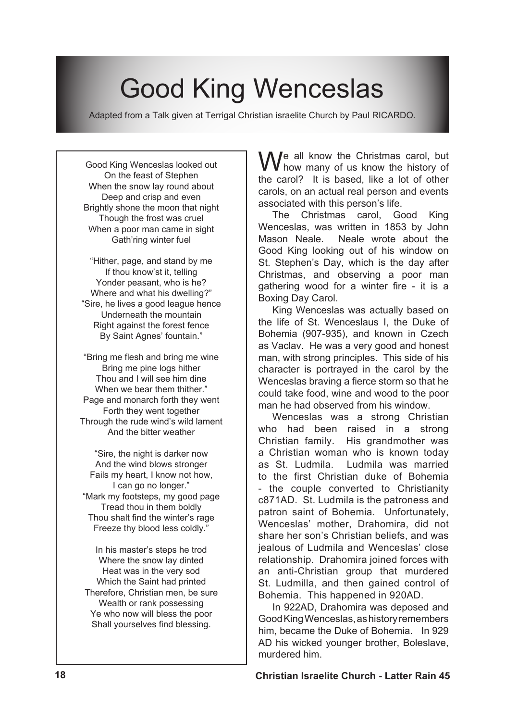# Good King Wenceslas

Adapted from a Talk given at Terrigal Christian israelite Church by Paul RICARDO.

Good King Wenceslas looked out On the feast of Stephen When the snow lay round about Deep and crisp and even Brightly shone the moon that night Though the frost was cruel When a poor man came in sight Gath'ring winter fuel

"Hither, page, and stand by me If thou know'st it, telling Yonder peasant, who is he? Where and what his dwelling?" "Sire, he lives a good league hence Underneath the mountain Right against the forest fence By Saint Agnes' fountain."

"Bring me flesh and bring me wine Bring me pine logs hither Thou and I will see him dine When we bear them thither." Page and monarch forth they went Forth they went together Through the rude wind's wild lament And the bitter weather

"Sire, the night is darker now And the wind blows stronger Fails my heart, I know not how, I can go no longer." "Mark my footsteps, my good page Tread thou in them boldly Thou shalt find the winter's rage Freeze thy blood less coldly."

In his master's steps he trod Where the snow lay dinted Heat was in the very sod Which the Saint had printed Therefore, Christian men, be sure Wealth or rank possessing Ye who now will bless the poor Shall yourselves find blessing.

We all know the Christmas carol, but<br>the new in this based like a late of all the the carol? It is based, like a lot of other carols, on an actual real person and events associated with this person's life.

The Christmas carol, Good King Wenceslas, was written in 1853 by John Mason Neale. Neale wrote about the Good King looking out of his window on St. Stephen's Day, which is the day after Christmas, and observing a poor man gathering wood for a winter fire - it is a Boxing Day Carol.

King Wenceslas was actually based on the life of St. Wenceslaus I, the Duke of Bohemia (907-935), and known in Czech as Vaclav. He was a very good and honest man, with strong principles. This side of his character is portrayed in the carol by the Wenceslas braving a fierce storm so that he could take food, wine and wood to the poor man he had observed from his window.

Wenceslas was a strong Christian who had been raised in a strong Christian family. His grandmother was a Christian woman who is known today as St. Ludmila. Ludmila was married to the first Christian duke of Bohemia - the couple converted to Christianity c871AD. St. Ludmila is the patroness and patron saint of Bohemia. Unfortunately, Wenceslas' mother, Drahomira, did not share her son's Christian beliefs, and was jealous of Ludmila and Wenceslas' close relationship. Drahomira joined forces with an anti-Christian group that murdered St. Ludmilla, and then gained control of Bohemia. This happened in 920AD.

In 922AD, Drahomira was deposed and GoodKingWenceslas,ashistoryremembers him, became the Duke of Bohemia. In 929 AD his wicked younger brother, Boleslave, murdered him.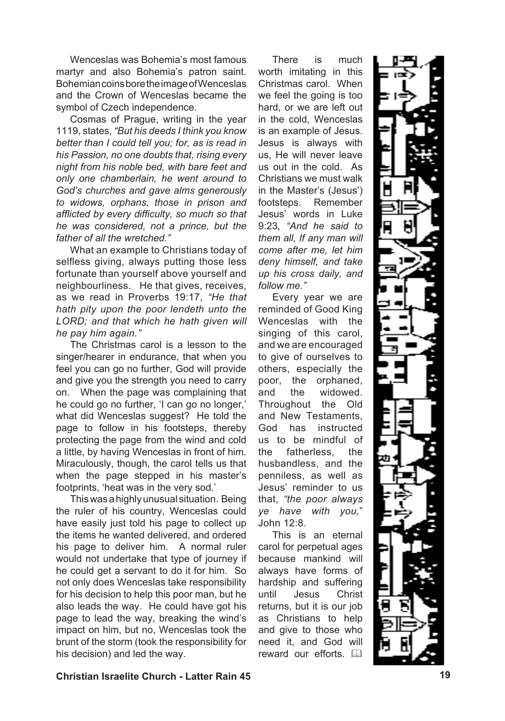Wenceslas was Bohemia's most famous martyr and also Bohemia's patron saint. BohemiancoinsboretheimageofWenceslas and the Crown of Wenceslas became the symbol of Czech independence.

Cosmas of Prague, writing in the year 1119, states, *"But his deeds I think you know better than I could tell you; for, as is read in his Passion, no one doubts that, rising every night from his noble bed, with bare feet and only one chamberlain, he went around to God's churches and gave alms generously to widows, orphans, those in prison and afflicted by every difficulty, so much so that he was considered, not a prince, but the father of all the wretched."*

What an example to Christians today of selfless giving, always putting those less fortunate than yourself above yourself and neighbourliness. He that gives, receives, as we read in Proverbs 19:17, *"He that hath pity upon the poor lendeth unto the LORD; and that which he hath given will he pay him again."*

The Christmas carol is a lesson to the singer/hearer in endurance, that when you feel you can go no further, God will provide and give you the strength you need to carry on. When the page was complaining that he could go no further, 'I can go no longer,' what did Wenceslas suggest? He told the page to follow in his footsteps, thereby protecting the page from the wind and cold a little, by having Wenceslas in front of him. Miraculously, though, the carol tells us that when the page stepped in his master's footprints, 'heat was in the very sod.'

Thiswasahighlyunusual situation. Being the ruler of his country, Wenceslas could have easily just told his page to collect up the items he wanted delivered, and ordered his page to deliver him. A normal ruler would not undertake that type of journey if he could get a servant to do it for him. So not only does Wenceslas take responsibility for his decision to help this poor man, but he also leads the way. He could have got his page to lead the way, breaking the wind's impact on him, but no, Wenceslas took the brunt of the storm (took the responsibility for his decision) and led the way.

There is much worth imitating in this Christmas carol. When we feel the going is too hard, or we are left out in the cold, Wenceslas is an example of Jesus. Jesus is always with us, He will never leave us out in the cold. As Christians we must walk in the Master's (Jesus') footsteps. Remember Jesus' words in Luke 9:23, *"And he said to them all, If any man will come after me, let him deny himself, and take up his cross daily, and follow me."*

Every year we are reminded of Good King Wenceslas with the singing of this carol, and we are encouraged to give of ourselves to others, especially the poor, the orphaned, and the widowed. Throughout the Old and New Testaments, God has instructed us to be mindful of the fatherless, the husbandless, and the penniless, as well as Jesus' reminder to us that, *"the poor always ye have with you,*" John 12:8.

This is an eternal carol for perpetual ages because mankind will always have forms of hardship and suffering until Jesus Christ returns, but it is our job as Christians to help and give to those who need it, and God will reward our efforts.  $\Box$ 

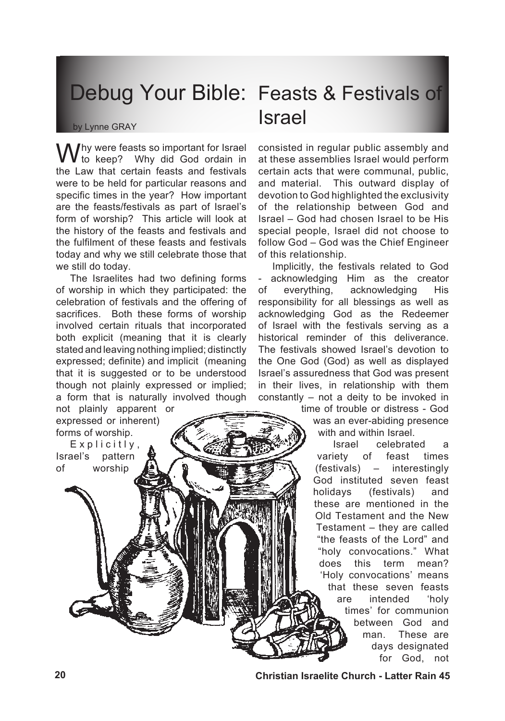#### by Lynne GRAY

If y were feasts so important for Israel to keep? Why did God ordain in the Law that certain feasts and festivals were to be held for particular reasons and specific times in the year? How important are the feasts/festivals as part of Israel's form of worship? This article will look at the history of the feasts and festivals and the fulfilment of these feasts and festivals today and why we still celebrate those that we still do today.

The Israelites had two defining forms of worship in which they participated: the celebration of festivals and the offering of sacrifices. Both these forms of worship involved certain rituals that incorporated both explicit (meaning that it is clearly stated and leaving nothing implied; distinctly expressed; definite) and implicit (meaning that it is suggested or to be understood though not plainly expressed or implied; a form that is naturally involved though

not plainly apparent or expressed or inherent) forms of worship.

 $Explicithy,$ Israel's pattern of worship

## Debug Your Bible: Feasts & Festivals of Israel

consisted in regular public assembly and at these assemblies Israel would perform certain acts that were communal, public, and material. This outward display of devotion to God highlighted the exclusivity of the relationship between God and Israel – God had chosen Israel to be His special people, Israel did not choose to follow God – God was the Chief Engineer of this relationship.

Implicitly, the festivals related to God acknowledging Him as the creator of everything, acknowledging His responsibility for all blessings as well as acknowledging God as the Redeemer of Israel with the festivals serving as a historical reminder of this deliverance. The festivals showed Israel's devotion to the One God (God) as well as displayed Israel's assuredness that God was present in their lives, in relationship with them constantly – not a deity to be invoked in

> time of trouble or distress - God was an ever-abiding presence with and within Israel.

Israel celebrated a variety of feast times (festivals) – interestingly God instituted seven feast holidays (festivals) and these are mentioned in the Old Testament and the New Testament – they are called "the feasts of the Lord" and "holy convocations." What does this term mean? 'Holy convocations' means that these seven feasts are intended 'holy times' for communion between God and man. These are days designated for God, not

**20 Christian Israelite Church - Latter Rain 45**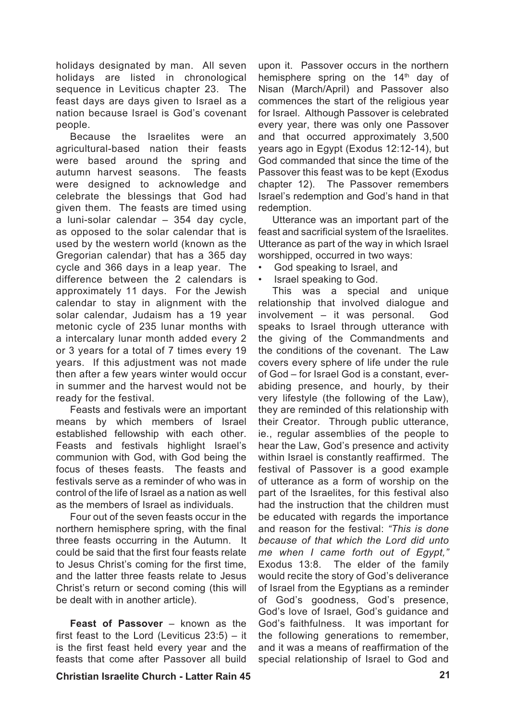holidays designated by man. All seven holidays are listed in chronological sequence in Leviticus chapter 23. The feast days are days given to Israel as a nation because Israel is God's covenant people.

Because the Israelites were an agricultural-based nation their feasts were based around the spring and autumn harvest seasons. The feasts were designed to acknowledge and celebrate the blessings that God had given them. The feasts are timed using a luni-solar calendar – 354 day cycle, as opposed to the solar calendar that is used by the western world (known as the Gregorian calendar) that has a 365 day cycle and 366 days in a leap year. The difference between the 2 calendars is approximately 11 days. For the Jewish calendar to stay in alignment with the solar calendar, Judaism has a 19 year metonic cycle of 235 lunar months with a intercalary lunar month added every 2 or 3 years for a total of 7 times every 19 years. If this adjustment was not made then after a few years winter would occur in summer and the harvest would not be ready for the festival.

Feasts and festivals were an important means by which members of Israel established fellowship with each other. Feasts and festivals highlight Israel's communion with God, with God being the focus of theses feasts. The feasts and festivals serve as a reminder of who was in control of the life of Israel as a nation as well as the members of Israel as individuals.

Four out of the seven feasts occur in the northern hemisphere spring, with the final three feasts occurring in the Autumn. It could be said that the first four feasts relate to Jesus Christ's coming for the first time, and the latter three feasts relate to Jesus Christ's return or second coming (this will be dealt with in another article).

**Feast of Passover** – known as the first feast to the Lord (Leviticus 23:5) – it is the first feast held every year and the feasts that come after Passover all build

### **Christian Israelite Church - Latter Rain 45 21**

upon it. Passover occurs in the northern hemisphere spring on the  $14<sup>th</sup>$  day of Nisan (March/April) and Passover also commences the start of the religious year for Israel. Although Passover is celebrated every year, there was only one Passover and that occurred approximately 3,500 years ago in Egypt (Exodus 12:12-14), but God commanded that since the time of the Passover this feast was to be kept (Exodus chapter 12). The Passover remembers Israel's redemption and God's hand in that redemption.

Utterance was an important part of the feast and sacrificial system of the Israelites. Utterance as part of the way in which Israel worshipped, occurred in two ways:

- God speaking to Israel, and •
- Israel speaking to God. •

This was a special and unique relationship that involved dialogue and involvement – it was personal. God speaks to Israel through utterance with the giving of the Commandments and the conditions of the covenant. The Law covers every sphere of life under the rule of God – for Israel God is a constant, everabiding presence, and hourly, by their very lifestyle (the following of the Law), they are reminded of this relationship with their Creator. Through public utterance, ie., regular assemblies of the people to hear the Law, God's presence and activity within Israel is constantly reaffirmed. The festival of Passover is a good example of utterance as a form of worship on the part of the Israelites, for this festival also had the instruction that the children must be educated with regards the importance and reason for the festival: *"This is done because of that which the Lord did unto me when I came forth out of Egypt,"* Exodus 13:8. The elder of the family would recite the story of God's deliverance of Israel from the Egyptians as a reminder of God's goodness, God's presence, God's love of Israel, God's guidance and God's faithfulness. It was important for the following generations to remember, and it was a means of reaffirmation of the special relationship of Israel to God and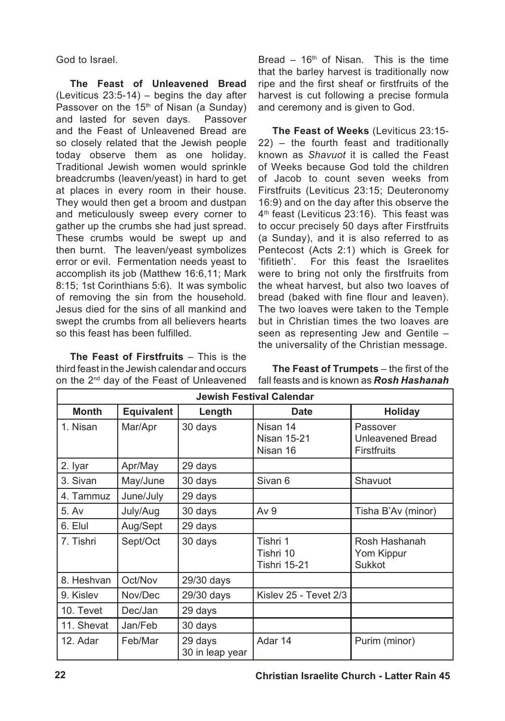God to Israel.

**The Feast of Unleavened Bread**  $(Leviticus 23:5-14) - beains the day after$ Passover on the 15<sup>th</sup> of Nisan (a Sunday) and lasted for seven days. Passover and the Feast of Unleavened Bread are so closely related that the Jewish people today observe them as one holiday. Traditional Jewish women would sprinkle breadcrumbs (leaven/yeast) in hard to get at places in every room in their house. They would then get a broom and dustpan and meticulously sweep every corner to gather up the crumbs she had just spread. These crumbs would be swept up and then burnt. The leaven/yeast symbolizes error or evil. Fermentation needs yeast to accomplish its job (Matthew 16:6,11; Mark 8:15; 1st Corinthians 5:6). It was symbolic of removing the sin from the household. Jesus died for the sins of all mankind and swept the crumbs from all believers hearts so this feast has been fulfilled.

**The Feast of Firstfruits** – This is the third feast in the Jewish calendar and occurs on the 2nd day of the Feast of Unleavened Bread –  $16<sup>th</sup>$  of Nisan. This is the time that the barley harvest is traditionally now ripe and the first sheaf or firstfruits of the harvest is cut following a precise formula and ceremony and is given to God.

**The Feast of Weeks** (Leviticus 23:15- 22) – the fourth feast and traditionally known as *Shavuot* it is called the Feast of Weeks because God told the children of Jacob to count seven weeks from Firstfruits (Leviticus 23:15; Deuteronomy 16:9) and on the day after this observe the 4<sup>th</sup> feast (Leviticus 23:16). This feast was to occur precisely 50 days after Firstfruits (a Sunday), and it is also referred to as Pentecost (Acts 2:1) which is Greek for 'fifitieth'. For this feast the Israelites were to bring not only the firstfruits from the wheat harvest, but also two loaves of bread (baked with fine flour and leaven). The two loaves were taken to the Temple but in Christian times the two loaves are seen as representing Jew and Gentile – the universality of the Christian message.

**The Feast of Trumpets** – the first of the fall feasts and is known as *Rosh Hashanah*

| <b>Jewish Festival Calendar</b> |                   |                            |                                              |                                                           |  |
|---------------------------------|-------------------|----------------------------|----------------------------------------------|-----------------------------------------------------------|--|
| <b>Month</b>                    | <b>Equivalent</b> | Length                     | <b>Date</b>                                  | <b>Holiday</b>                                            |  |
| 1. Nisan                        | Mar/Apr           | 30 days                    | Nisan 14<br><b>Nisan 15-21</b><br>Nisan 16   | Passover<br><b>Unleavened Bread</b><br><b>Firstfruits</b> |  |
| 2. Iyar                         | Apr/May           | 29 days                    |                                              |                                                           |  |
| 3. Sivan                        | May/June          | 30 days                    | Sivan 6                                      | Shavuot                                                   |  |
| 4. Tammuz                       | June/July         | 29 days                    |                                              |                                                           |  |
| 5. Av                           | July/Aug          | 30 days                    | Av <sub>9</sub>                              | Tisha B'Av (minor)                                        |  |
| 6. Elul                         | Aug/Sept          | 29 days                    |                                              |                                                           |  |
| 7. Tishri                       | Sept/Oct          | 30 days                    | Tishri 1<br>Tishri 10<br><b>Tishri 15-21</b> | Rosh Hashanah<br>Yom Kippur<br>Sukkot                     |  |
| 8. Heshvan                      | Oct/Nov           | 29/30 days                 |                                              |                                                           |  |
| 9. Kislev                       | Nov/Dec           | 29/30 days                 | Kislev 25 - Tevet 2/3                        |                                                           |  |
| 10. Tevet                       | Dec/Jan           | 29 days                    |                                              |                                                           |  |
| 11. Shevat                      | Jan/Feb           | 30 days                    |                                              |                                                           |  |
| 12. Adar                        | Feb/Mar           | 29 days<br>30 in leap year | Adar 14                                      | Purim (minor)                                             |  |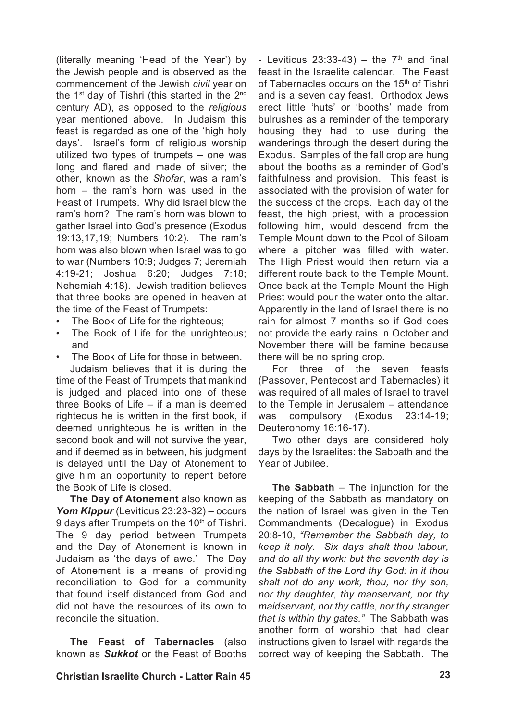(literally meaning 'Head of the Year') by the Jewish people and is observed as the commencement of the Jewish *civil* year on the 1<sup>st</sup> day of Tishri (this started in the 2<sup>nd</sup> century AD), as opposed to the *religious*  year mentioned above. In Judaism this feast is regarded as one of the 'high holy days'. Israel's form of religious worship utilized two types of trumpets – one was long and flared and made of silver; the other, known as the *Shofar*, was a ram's horn – the ram's horn was used in the Feast of Trumpets. Why did Israel blow the ram's horn? The ram's horn was blown to gather Israel into God's presence (Exodus 19:13,17,19; Numbers 10:2). The ram's horn was also blown when Israel was to go to war (Numbers 10:9; Judges 7; Jeremiah 4:19-21; Joshua 6:20; Judges 7:18; Nehemiah 4:18). Jewish tradition believes that three books are opened in heaven at the time of the Feast of Trumpets:

- The Book of Life for the righteous; •
- The Book of Life for the unrighteous; and •
- The Book of Life for those in between. •

Judaism believes that it is during the time of the Feast of Trumpets that mankind is judged and placed into one of these three Books of Life – if a man is deemed righteous he is written in the first book, if deemed unrighteous he is written in the second book and will not survive the year, and if deemed as in between, his judgment is delayed until the Day of Atonement to give him an opportunity to repent before the Book of Life is closed.

**The Day of Atonement** also known as *Yom Kippur* (Leviticus 23:23-32) – occurs 9 days after Trumpets on the 10<sup>th</sup> of Tishri. The 9 day period between Trumpets and the Day of Atonement is known in Judaism as 'the days of awe.' The Day of Atonement is a means of providing reconciliation to God for a community that found itself distanced from God and did not have the resources of its own to reconcile the situation.

**The Feast of Tabernacles** (also known as *Sukkot* or the Feast of Booths - Leviticus  $23:33-43$ ) – the  $7<sup>th</sup>$  and final feast in the Israelite calendar. The Feast of Tabernacles occurs on the 15<sup>th</sup> of Tishri and is a seven day feast. Orthodox Jews erect little 'huts' or 'booths' made from bulrushes as a reminder of the temporary housing they had to use during the wanderings through the desert during the Exodus. Samples of the fall crop are hung about the booths as a reminder of God's faithfulness and provision. This feast is associated with the provision of water for the success of the crops. Each day of the feast, the high priest, with a procession following him, would descend from the Temple Mount down to the Pool of Siloam where a pitcher was filled with water. The High Priest would then return via a different route back to the Temple Mount. Once back at the Temple Mount the High Priest would pour the water onto the altar. Apparently in the land of Israel there is no rain for almost 7 months so if God does not provide the early rains in October and November there will be famine because there will be no spring crop.

For three of the seven feasts (Passover, Pentecost and Tabernacles) it was required of all males of Israel to travel to the Temple in Jerusalem – attendance was compulsory (Exodus 23:14-19; Deuteronomy 16:16-17).

Two other days are considered holy days by the Israelites: the Sabbath and the Year of Jubilee.

**The Sabbath** – The injunction for the keeping of the Sabbath as mandatory on the nation of Israel was given in the Ten Commandments (Decalogue) in Exodus 20:8-10, *"Remember the Sabbath day, to keep it holy. Six days shalt thou labour, and do all thy work: but the seventh day is the Sabbath of the Lord thy God: in it thou shalt not do any work, thou, nor thy son, nor thy daughter, thy manservant, nor thy maidservant, nor thy cattle, nor thy stranger that is within thy gates."* The Sabbath was another form of worship that had clear instructions given to Israel with regards the correct way of keeping the Sabbath. The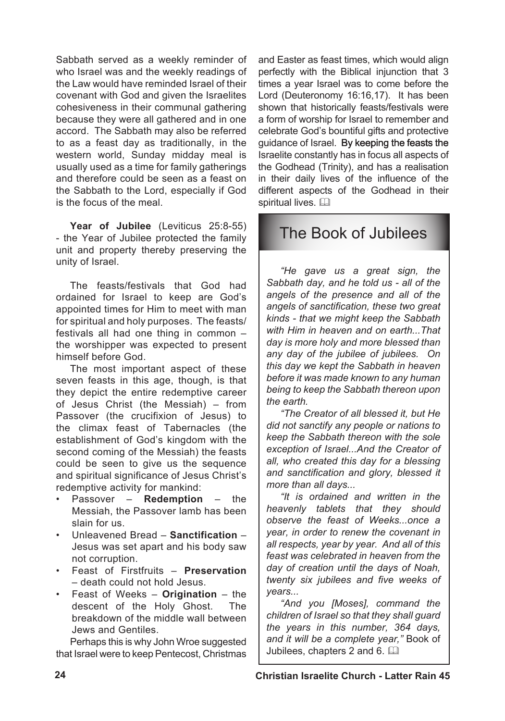Sabbath served as a weekly reminder of who Israel was and the weekly readings of the Law would have reminded Israel of their covenant with God and given the Israelites cohesiveness in their communal gathering because they were all gathered and in one accord. The Sabbath may also be referred to as a feast day as traditionally, in the western world, Sunday midday meal is usually used as a time for family gatherings and therefore could be seen as a feast on the Sabbath to the Lord, especially if God is the focus of the meal.

Year of Jubilee (Leviticus 25:8-55) - the Year of Jubilee protected the family unit and property thereby preserving the unity of Israel.

The feasts/festivals that God had ordained for Israel to keep are God's appointed times for Him to meet with man for spiritual and holy purposes. The feasts/ festivals all had one thing in common – the worshipper was expected to present himself before God.

The most important aspect of these seven feasts in this age, though, is that they depict the entire redemptive career of Jesus Christ (the Messiah) – from Passover (the crucifixion of Jesus) to the climax feast of Tabernacles (the establishment of God's kingdom with the second coming of the Messiah) the feasts could be seen to give us the sequence and spiritual significance of Jesus Christ's redemptive activity for mankind:

- Passover **Redemption** the Messiah, the Passover lamb has been slain for us. •
- Unleavened Bread **Sanctification** Jesus was set apart and his body saw not corruption. •
- Feast of Firstfruits **Preservation** – death could not hold Jesus.
- Feast of Weeks **Origination** the descent of the Holy Ghost. The breakdown of the middle wall between Jews and Gentiles.

Perhaps this is why John Wroe suggested that Israel were to keep Pentecost, Christmas and Easter as feast times, which would align perfectly with the Biblical injunction that 3 times a year Israel was to come before the Lord (Deuteronomy 16:16,17). It has been shown that historically feasts/festivals were a form of worship for Israel to remember and celebrate God's bountiful gifts and protective guidance of Israel. By keeping the feasts the Israelite constantly has in focus all aspects of the Godhead (Trinity), and has a realisation in their daily lives of the influence of the different aspects of the Godhead in their spiritual lives. A

## The Book of Jubilees

*"He gave us a great sign, the Sabbath day, and he told us - all of the angels of the presence and all of the angels of sanctification, these two great kinds - that we might keep the Sabbath with Him in heaven and on earth...That day is more holy and more blessed than any day of the jubilee of jubilees. On this day we kept the Sabbath in heaven before it was made known to any human being to keep the Sabbath thereon upon the earth.*

*"The Creator of all blessed it, but He did not sanctify any people or nations to keep the Sabbath thereon with the sole exception of Israel...And the Creator of all, who created this day for a blessing and sanctification and glory, blessed it more than all days...*

*"It is ordained and written in the heavenly tablets that they should observe the feast of Weeks...once a year, in order to renew the covenant in all respects, year by year. And all of this feast was celebrated in heaven from the day of creation until the days of Noah, twenty six jubilees and five weeks of years...*

*"And you [Moses], command the children of Israel so that they shall guard the years in this number, 364 days, and it will be a complete year,"* Book of Jubilees, chapters 2 and 6.  $\Box$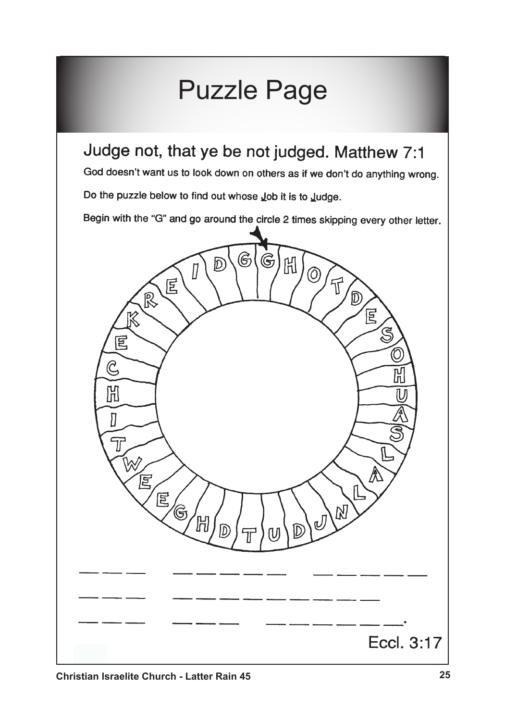# Puzzle PageJudge not, that ye be not judged. Matthew 7:1 God doesn't want us to look down on others as if we don't do anything wrong. Do the puzzle below to find out whose Job it is to Judge. Begin with the "G" and go around the circle 2 times skipping every other letter. ලි G  $\mathcal{D}$ 昍 Ō,  $\vec{\mathbb{r}}$ E R  $\mathbb{D}$ 。<br>尾  $\mathbb{R}^2$ Ś 囘  $\mathfrak{S}$ 囧 D  $\overline{T}$ 厚 冝 G Eccl. 3:17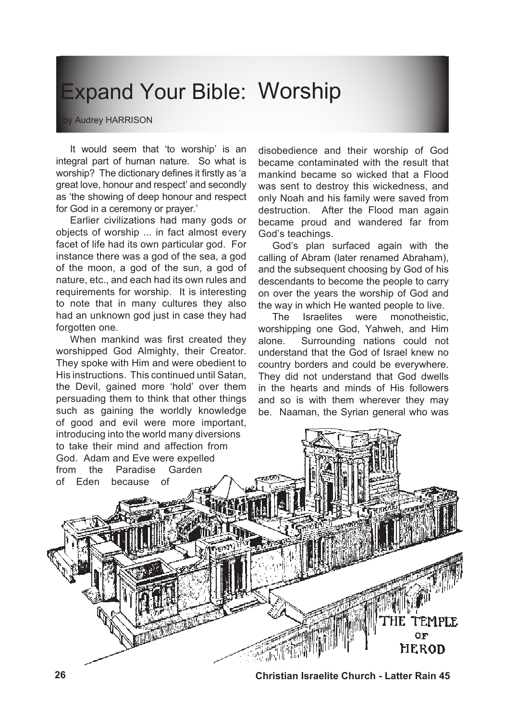# Expand Your Bible: Worship

by Audrey HARRISON

It would seem that 'to worship' is an integral part of human nature. So what is worship? The dictionary defines it firstly as 'a great love, honour and respect' and secondly as 'the showing of deep honour and respect for God in a ceremony or prayer.'

Earlier civilizations had many gods or objects of worship ... in fact almost every facet of life had its own particular god. For instance there was a god of the sea, a god of the moon, a god of the sun, a god of nature, etc., and each had its own rules and requirements for worship. It is interesting to note that in many cultures they also had an unknown god just in case they had forgotten one.

When mankind was first created they worshipped God Almighty, their Creator. They spoke with Him and were obedient to His instructions. This continued until Satan, the Devil, gained more 'hold' over them persuading them to think that other things such as gaining the worldly knowledge of good and evil were more important,

disobedience and their worship of God became contaminated with the result that mankind became so wicked that a Flood was sent to destroy this wickedness, and only Noah and his family were saved from destruction. After the Flood man again became proud and wandered far from God's teachings.

God's plan surfaced again with the calling of Abram (later renamed Abraham), and the subsequent choosing by God of his descendants to become the people to carry on over the years the worship of God and the way in which He wanted people to live.

The Israelites were monotheistic, worshipping one God, Yahweh, and Him alone. Surrounding nations could not understand that the God of Israel knew no country borders and could be everywhere. They did not understand that God dwells in the hearts and minds of His followers and so is with them wherever they may be. Naaman, the Syrian general who was



**26 Christian Israelite Church - Latter Rain 45**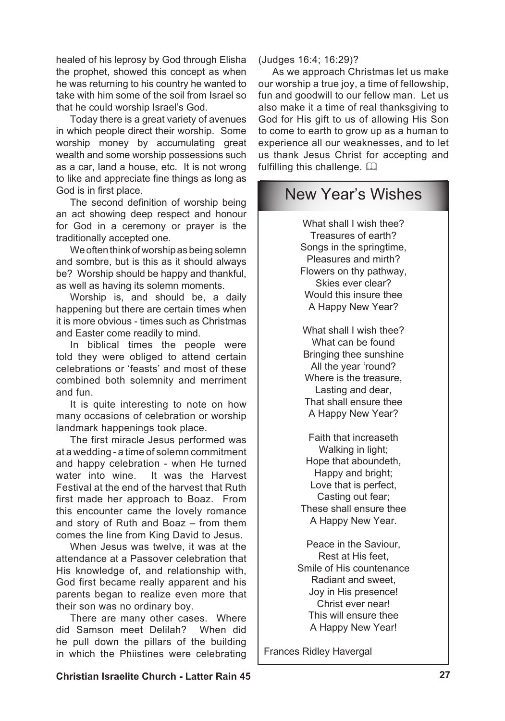healed of his leprosy by God through Elisha the prophet, showed this concept as when he was returning to his country he wanted to take with him some of the soil from Israel so that he could worship Israel's God.

Today there is a great variety of avenues in which people direct their worship. Some worship money by accumulating great wealth and some worship possessions such as a car, land a house, etc. It is not wrong to like and appreciate fine things as long as God is in first place.

The second definition of worship being an act showing deep respect and honour for God in a ceremony or prayer is the traditionally accepted one.

We often think of worship as being solemn and sombre, but is this as it should always be? Worship should be happy and thankful, as well as having its solemn moments.

Worship is, and should be, a daily happening but there are certain times when it is more obvious - times such as Christmas and Easter come readily to mind.

In biblical times the people were told they were obliged to attend certain celebrations or 'feasts' and most of these combined both solemnity and merriment and fun.

It is quite interesting to note on how many occasions of celebration or worship landmark happenings took place.

The first miracle Jesus performed was at a wedding - a time of solemn commitment and happy celebration - when He turned water into wine. It was the Harvest Festival at the end of the harvest that Ruth first made her approach to Boaz. From this encounter came the lovely romance and story of Ruth and Boaz – from them comes the line from King David to Jesus.

When Jesus was twelve, it was at the attendance at a Passover celebration that His knowledge of, and relationship with, God first became really apparent and his parents began to realize even more that their son was no ordinary boy.

There are many other cases. Where did Samson meet Delilah? When did he pull down the pillars of the building in which the Phiistines were celebrating

### (Judges 16:4; 16:29)?

As we approach Christmas let us make our worship a true joy, a time of fellowship, fun and goodwill to our fellow man. Let us also make it a time of real thanksgiving to God for His gift to us of allowing His Son to come to earth to grow up as a human to experience all our weaknesses, and to let us thank Jesus Christ for accepting and fulfilling this challenge.  $\Box$ 

## New Year's Wishes

What shall I wish thee? Treasures of earth? Songs in the springtime, Pleasures and mirth? Flowers on thy pathway, Skies ever clear? Would this insure thee A Happy New Year?

What shall I wish thee? What can be found Bringing thee sunshine All the year 'round? Where is the treasure, Lasting and dear, That shall ensure thee A Happy New Year?

Faith that increaseth Walking in light: Hope that aboundeth, Happy and bright; Love that is perfect, Casting out fear; These shall ensure thee A Happy New Year.

Peace in the Saviour, Rest at His feet, Smile of His countenance Radiant and sweet, Joy in His presence! Christ ever near! This will ensure thee A Happy New Year!

Frances Ridley Havergal